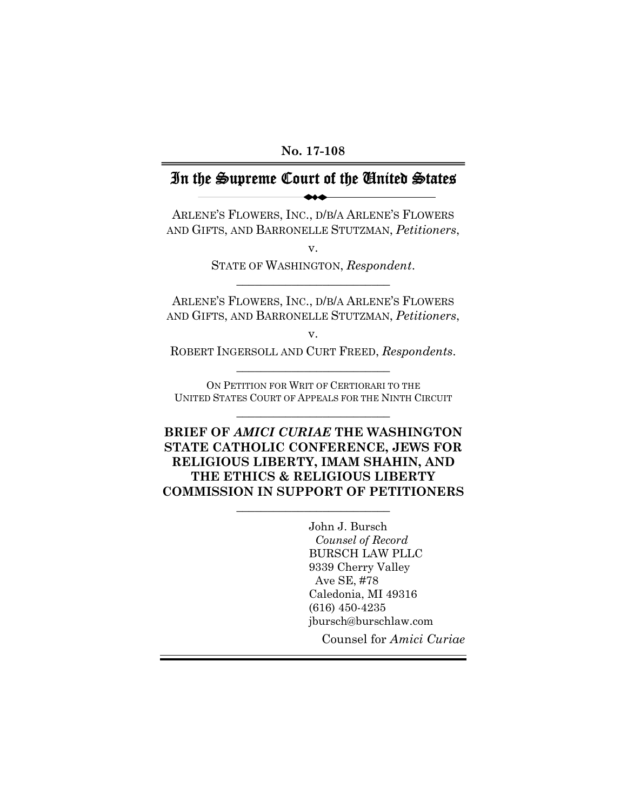**No. 17-108** 

# In the Supreme Court of the United States

ARLENE'S FLOWERS, INC., D/B/A ARLENE'S FLOWERS AND GIFTS, AND BARRONELLE STUTZMAN, *Petitioners*,

> v. STATE OF WASHINGTON, *Respondent*.  $\overline{\phantom{a}}$  , where  $\overline{\phantom{a}}$  , where  $\overline{\phantom{a}}$  , where  $\overline{\phantom{a}}$  , where  $\overline{\phantom{a}}$

ARLENE'S FLOWERS, INC., D/B/A ARLENE'S FLOWERS AND GIFTS, AND BARRONELLE STUTZMAN, *Petitioners*,

v.

ROBERT INGERSOLL AND CURT FREED, *Respondents*. \_\_\_\_\_\_\_\_\_\_\_\_\_\_\_\_\_\_\_\_\_\_\_\_\_

ON PETITION FOR WRIT OF CERTIORARI TO THE UNITED STATES COURT OF APPEALS FOR THE NINTH CIRCUIT  $\overline{\phantom{a}}$  , where  $\overline{\phantom{a}}$  , where  $\overline{\phantom{a}}$  , where  $\overline{\phantom{a}}$  , where  $\overline{\phantom{a}}$ 

**BRIEF OF** *AMICI CURIAE* **THE WASHINGTON STATE CATHOLIC CONFERENCE, JEWS FOR RELIGIOUS LIBERTY, IMAM SHAHIN, AND THE ETHICS & RELIGIOUS LIBERTY COMMISSION IN SUPPORT OF PETITIONERS** 

\_\_\_\_\_\_\_\_\_\_\_\_\_\_\_\_\_\_\_\_\_\_\_\_\_

John J. Bursch *Counsel of Record*  BURSCH LAW PLLC 9339 Cherry Valley Ave SE, #78 Caledonia, MI 49316 (616) 450-4235 jbursch@burschlaw.com

Counsel for *Amici Curiae*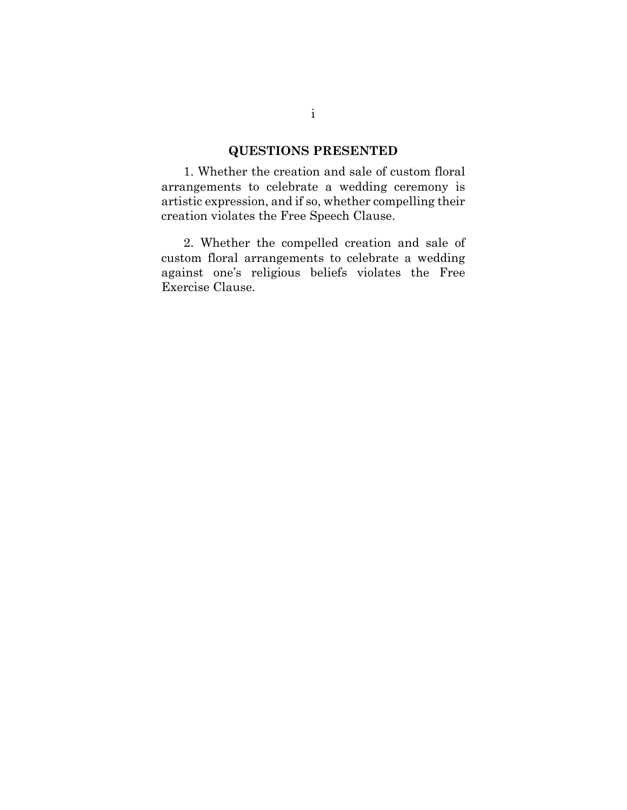### **QUESTIONS PRESENTED**

1. Whether the creation and sale of custom floral arrangements to celebrate a wedding ceremony is artistic expression, and if so, whether compelling their creation violates the Free Speech Clause.

2. Whether the compelled creation and sale of custom floral arrangements to celebrate a wedding against one's religious beliefs violates the Free Exercise Clause.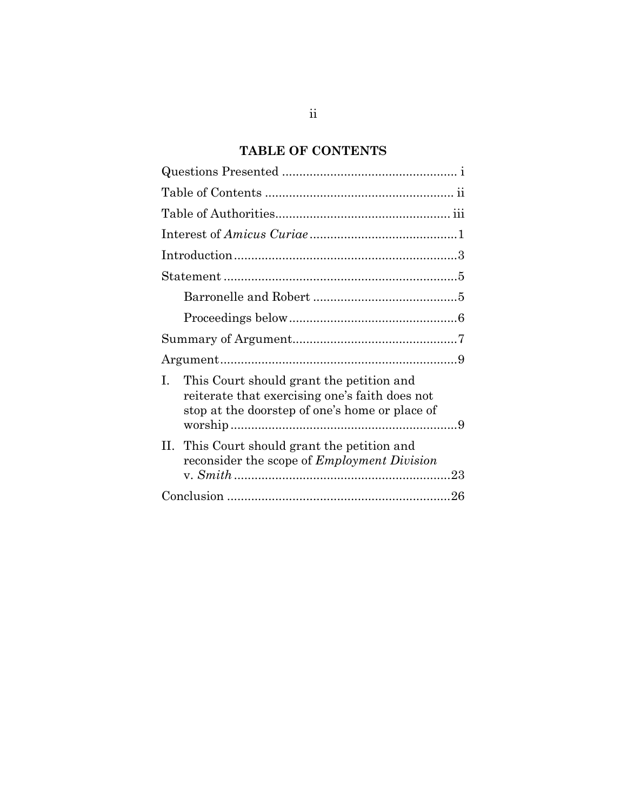# **TABLE OF CONTENTS**

| This Court should grant the petition and<br>L<br>reiterate that exercising one's faith does not<br>stop at the doorstep of one's home or place of |  |
|---------------------------------------------------------------------------------------------------------------------------------------------------|--|
| II. This Court should grant the petition and<br>reconsider the scope of <i>Employment Division</i>                                                |  |
|                                                                                                                                                   |  |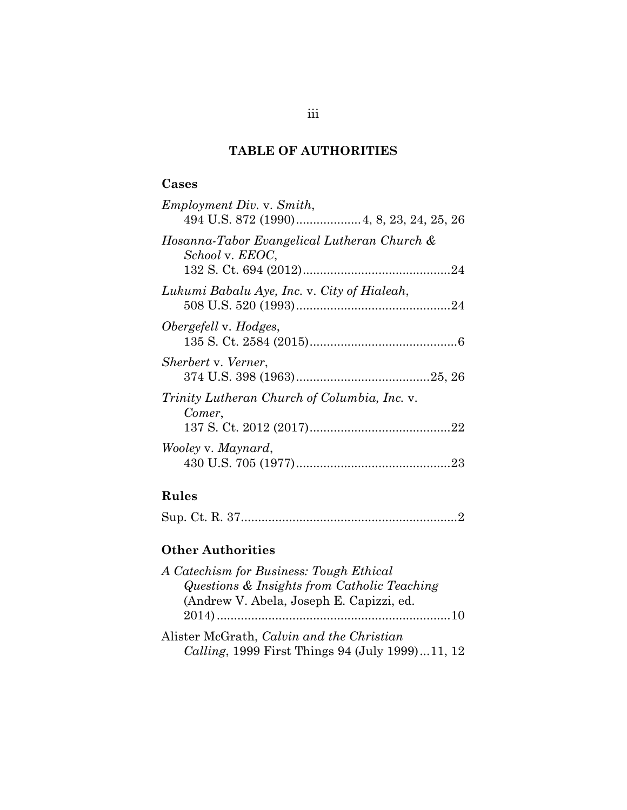## **TABLE OF AUTHORITIES**

## **Cases**

| <i>Employment Div. v. Smith,</i>                               |
|----------------------------------------------------------------|
| Hosanna-Tabor Evangelical Lutheran Church &<br>School v. EEOC, |
| Lukumi Babalu Aye, Inc. v. City of Hialeah,                    |
| Obergefell v. Hodges,                                          |
| Sherbert v. Verner,                                            |
| Trinity Lutheran Church of Columbia, Inc. v.<br>Comer,         |
| Wooley v. Maynard,                                             |

## **Rules**

|--|--|--|--|--|--|--|--|--|--|--|--|--|--|--|--|--|

## **Other Authorities**

| A Catechism for Business: Tough Ethical         |  |
|-------------------------------------------------|--|
| Questions & Insights from Catholic Teaching     |  |
| (Andrew V. Abela, Joseph E. Capizzi, ed.        |  |
|                                                 |  |
| Alister McGrath, Calvin and the Christian       |  |
| Calling, 1999 First Things 94 (July 1999)11, 12 |  |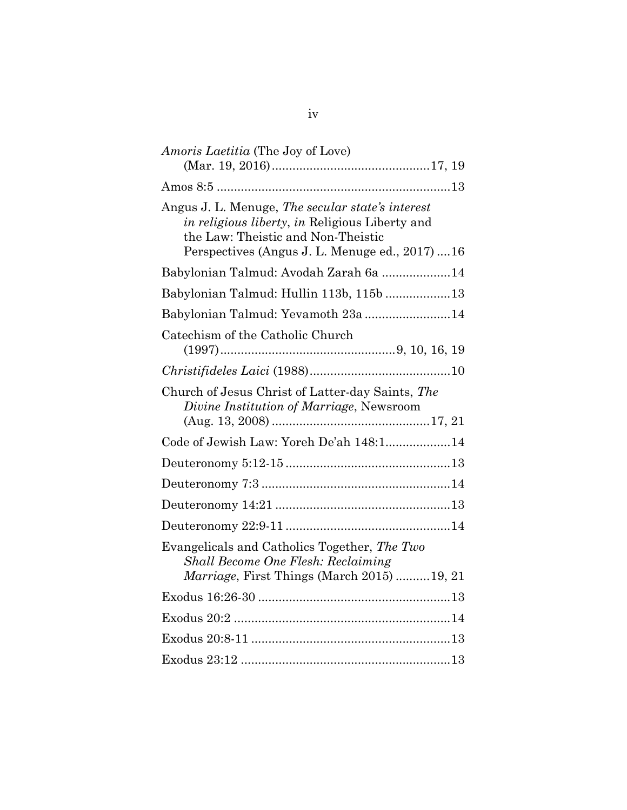| <i>Amoris Laetitia</i> (The Joy of Love)                                                                                                                                                  |
|-------------------------------------------------------------------------------------------------------------------------------------------------------------------------------------------|
|                                                                                                                                                                                           |
|                                                                                                                                                                                           |
| Angus J. L. Menuge, The secular state's interest<br>in religious liberty, in Religious Liberty and<br>the Law: Theistic and Non-Theistic<br>Perspectives (Angus J. L. Menuge ed., 2017)16 |
| Babylonian Talmud: Avodah Zarah 6a 14                                                                                                                                                     |
| Babylonian Talmud: Hullin 113b, 115b 13                                                                                                                                                   |
| Babylonian Talmud: Yevamoth 23a 14                                                                                                                                                        |
| Catechism of the Catholic Church                                                                                                                                                          |
|                                                                                                                                                                                           |
| Church of Jesus Christ of Latter-day Saints, The<br>Divine Institution of Marriage, Newsroom                                                                                              |
| Code of Jewish Law: Yoreh De'ah 148:114                                                                                                                                                   |
|                                                                                                                                                                                           |
|                                                                                                                                                                                           |
|                                                                                                                                                                                           |
|                                                                                                                                                                                           |
| Evangelicals and Catholics Together, The Two<br><b>Shall Become One Flesh: Reclaiming</b><br><i>Marriage</i> , First Things (March 2015)19, 21                                            |
|                                                                                                                                                                                           |
|                                                                                                                                                                                           |
|                                                                                                                                                                                           |
|                                                                                                                                                                                           |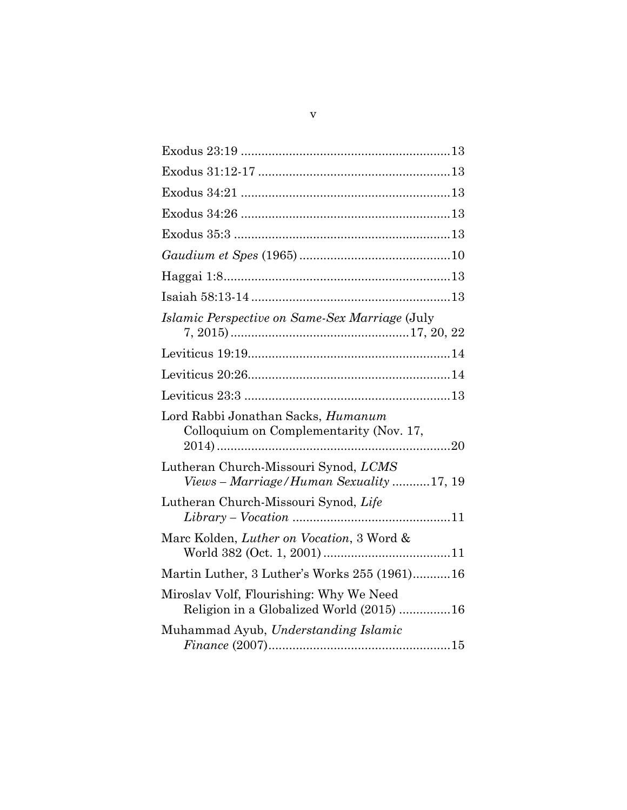| <i>Islamic Perspective on Same-Sex Marriage</i> (July                               |
|-------------------------------------------------------------------------------------|
|                                                                                     |
|                                                                                     |
|                                                                                     |
| Lord Rabbi Jonathan Sacks, Humanum<br>Colloquium on Complementarity (Nov. 17,       |
| Lutheran Church-Missouri Synod, LCMS<br>Views - Marriage/Human Sexuality 17, 19     |
| Lutheran Church-Missouri Synod, Life                                                |
| Marc Kolden, Luther on Vocation, 3 Word &                                           |
| Martin Luther, 3 Luther's Works 255 (1961)16                                        |
| Miroslav Volf, Flourishing: Why We Need<br>Religion in a Globalized World (2015) 16 |
| Muhammad Ayub, Understanding Islamic                                                |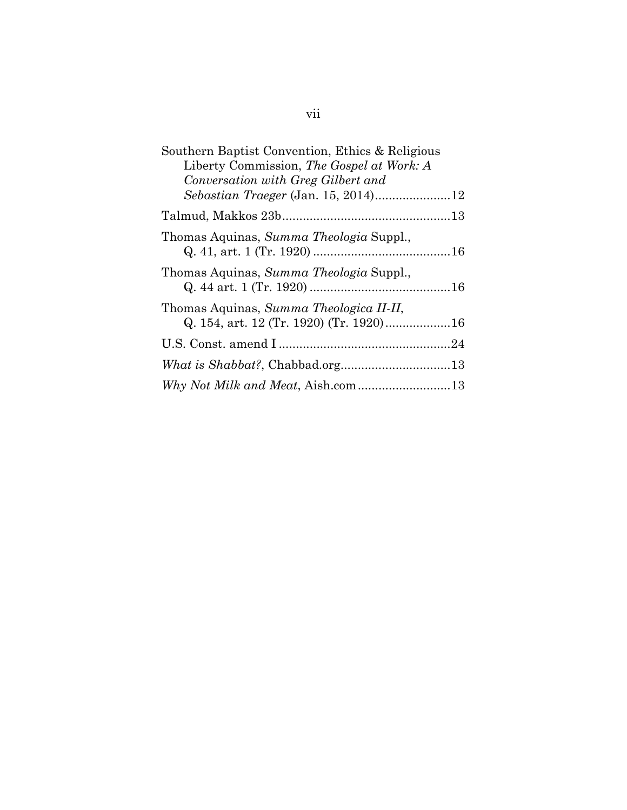| Southern Baptist Convention, Ethics & Religious<br>Liberty Commission, The Gospel at Work: A |  |
|----------------------------------------------------------------------------------------------|--|
| Conversation with Greg Gilbert and                                                           |  |
|                                                                                              |  |
| Thomas Aquinas, Summa Theologia Suppl.,                                                      |  |
| Thomas Aquinas, Summa Theologia Suppl.,                                                      |  |
| Thomas Aquinas, Summa Theologica II-II,                                                      |  |
|                                                                                              |  |
|                                                                                              |  |
|                                                                                              |  |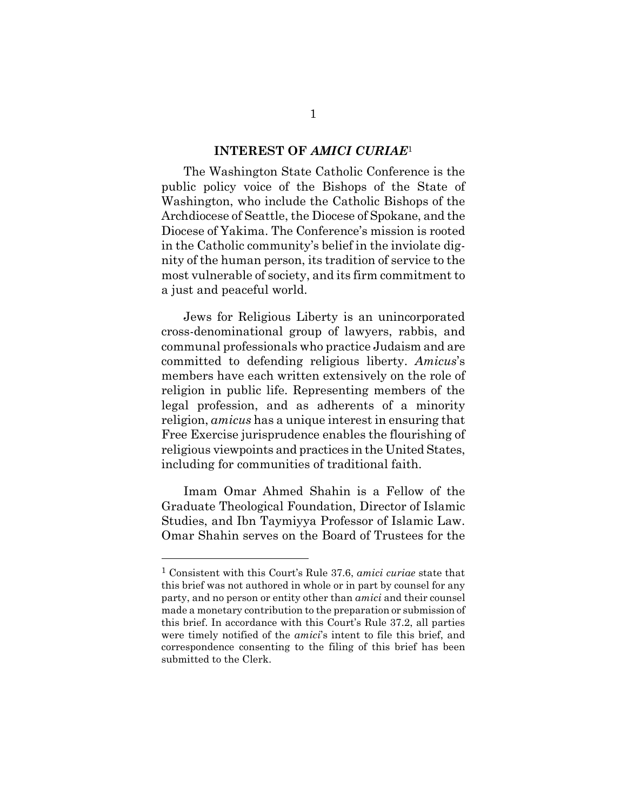#### **INTEREST OF** *AMICI CURIAE*<sup>1</sup>

The Washington State Catholic Conference is the public policy voice of the Bishops of the State of Washington, who include the Catholic Bishops of the Archdiocese of Seattle, the Diocese of Spokane, and the Diocese of Yakima. The Conference's mission is rooted in the Catholic community's belief in the inviolate dignity of the human person, its tradition of service to the most vulnerable of society, and its firm commitment to a just and peaceful world.

Jews for Religious Liberty is an unincorporated cross-denominational group of lawyers, rabbis, and communal professionals who practice Judaism and are committed to defending religious liberty. *Amicus*'s members have each written extensively on the role of religion in public life. Representing members of the legal profession, and as adherents of a minority religion, *amicus* has a unique interest in ensuring that Free Exercise jurisprudence enables the flourishing of religious viewpoints and practices in the United States, including for communities of traditional faith.

Imam Omar Ahmed Shahin is a Fellow of the Graduate Theological Foundation, Director of Islamic Studies, and Ibn Taymiyya Professor of Islamic Law. Omar Shahin serves on the Board of Trustees for the

<sup>1</sup> Consistent with this Court's Rule 37.6, *amici curiae* state that this brief was not authored in whole or in part by counsel for any party, and no person or entity other than *amici* and their counsel made a monetary contribution to the preparation or submission of this brief. In accordance with this Court's Rule 37.2, all parties were timely notified of the *amici*'s intent to file this brief, and correspondence consenting to the filing of this brief has been submitted to the Clerk.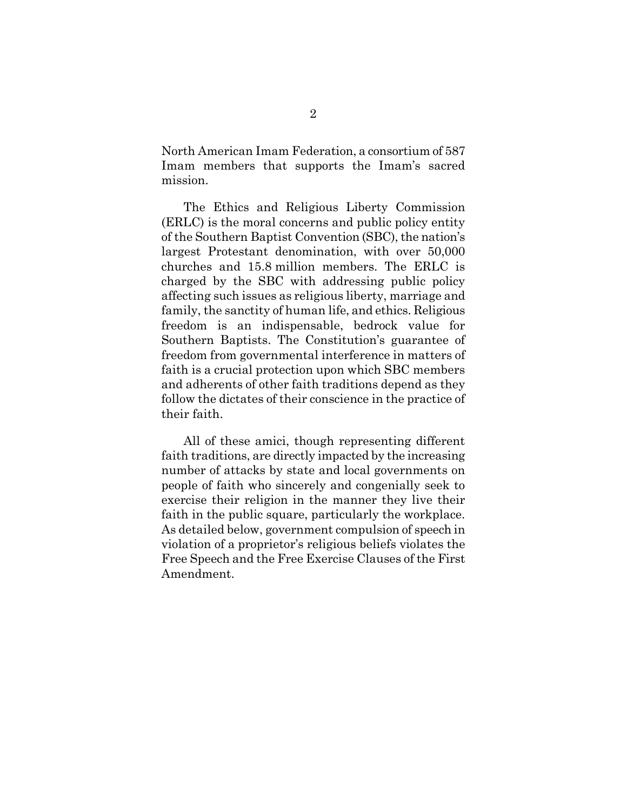North American Imam Federation, a consortium of 587 Imam members that supports the Imam's sacred mission.

The Ethics and Religious Liberty Commission (ERLC) is the moral concerns and public policy entity of the Southern Baptist Convention (SBC), the nation's largest Protestant denomination, with over 50,000 churches and 15.8 million members. The ERLC is charged by the SBC with addressing public policy affecting such issues as religious liberty, marriage and family, the sanctity of human life, and ethics. Religious freedom is an indispensable, bedrock value for Southern Baptists. The Constitution's guarantee of freedom from governmental interference in matters of faith is a crucial protection upon which SBC members and adherents of other faith traditions depend as they follow the dictates of their conscience in the practice of their faith.

All of these amici, though representing different faith traditions, are directly impacted by the increasing number of attacks by state and local governments on people of faith who sincerely and congenially seek to exercise their religion in the manner they live their faith in the public square, particularly the workplace. As detailed below, government compulsion of speech in violation of a proprietor's religious beliefs violates the Free Speech and the Free Exercise Clauses of the First Amendment.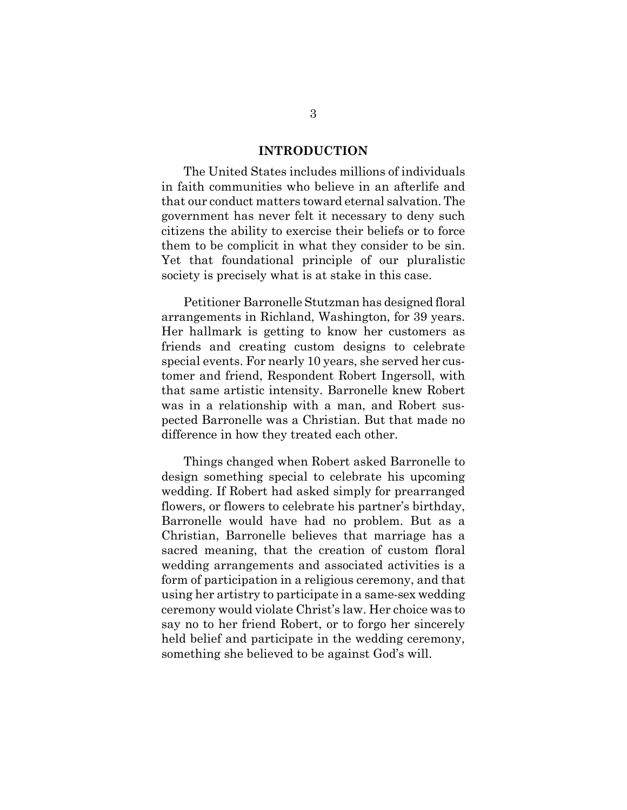#### **INTRODUCTION**

The United States includes millions of individuals in faith communities who believe in an afterlife and that our conduct matters toward eternal salvation. The government has never felt it necessary to deny such citizens the ability to exercise their beliefs or to force them to be complicit in what they consider to be sin. Yet that foundational principle of our pluralistic society is precisely what is at stake in this case.

Petitioner Barronelle Stutzman has designed floral arrangements in Richland, Washington, for 39 years. Her hallmark is getting to know her customers as friends and creating custom designs to celebrate special events. For nearly 10 years, she served her customer and friend, Respondent Robert Ingersoll, with that same artistic intensity. Barronelle knew Robert was in a relationship with a man, and Robert suspected Barronelle was a Christian. But that made no difference in how they treated each other.

Things changed when Robert asked Barronelle to design something special to celebrate his upcoming wedding. If Robert had asked simply for prearranged flowers, or flowers to celebrate his partner's birthday, Barronelle would have had no problem. But as a Christian, Barronelle believes that marriage has a sacred meaning, that the creation of custom floral wedding arrangements and associated activities is a form of participation in a religious ceremony, and that using her artistry to participate in a same-sex wedding ceremony would violate Christ's law. Her choice was to say no to her friend Robert, or to forgo her sincerely held belief and participate in the wedding ceremony, something she believed to be against God's will.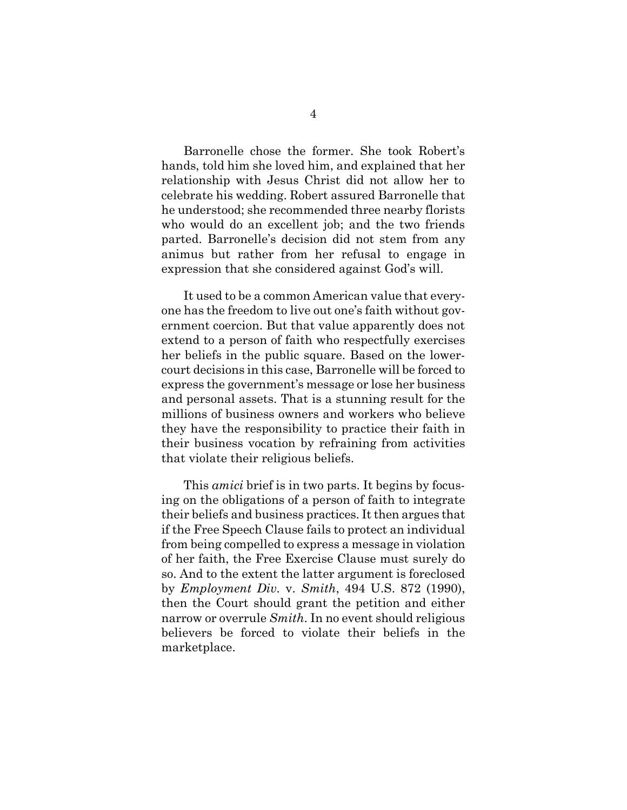Barronelle chose the former. She took Robert's hands, told him she loved him, and explained that her relationship with Jesus Christ did not allow her to celebrate his wedding. Robert assured Barronelle that he understood; she recommended three nearby florists who would do an excellent job; and the two friends parted. Barronelle's decision did not stem from any animus but rather from her refusal to engage in expression that she considered against God's will.

It used to be a common American value that everyone has the freedom to live out one's faith without government coercion. But that value apparently does not extend to a person of faith who respectfully exercises her beliefs in the public square. Based on the lowercourt decisions in this case, Barronelle will be forced to express the government's message or lose her business and personal assets. That is a stunning result for the millions of business owners and workers who believe they have the responsibility to practice their faith in their business vocation by refraining from activities that violate their religious beliefs.

This *amici* brief is in two parts. It begins by focusing on the obligations of a person of faith to integrate their beliefs and business practices. It then argues that if the Free Speech Clause fails to protect an individual from being compelled to express a message in violation of her faith, the Free Exercise Clause must surely do so. And to the extent the latter argument is foreclosed by *Employment Div.* v. *Smith*, 494 U.S. 872 (1990), then the Court should grant the petition and either narrow or overrule *Smith*. In no event should religious believers be forced to violate their beliefs in the marketplace.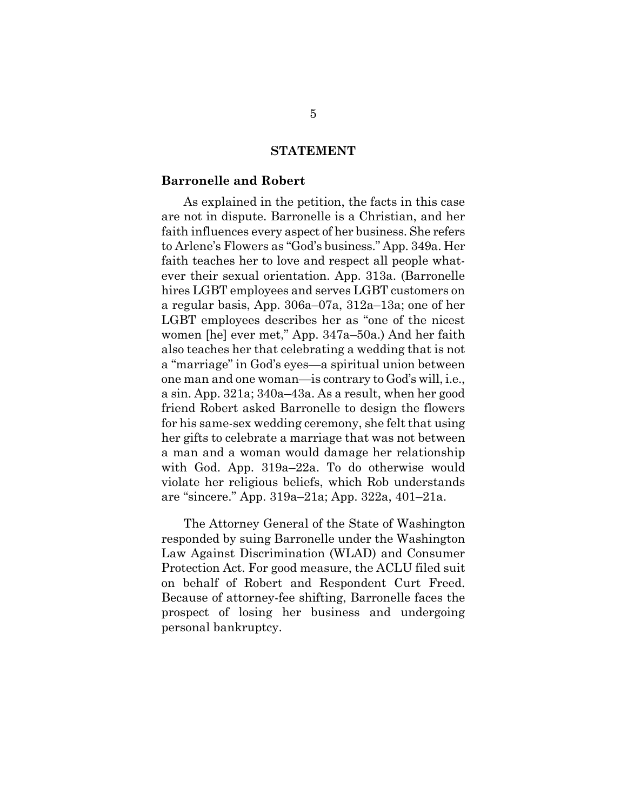#### **STATEMENT**

#### **Barronelle and Robert**

As explained in the petition, the facts in this case are not in dispute. Barronelle is a Christian, and her faith influences every aspect of her business. She refers to Arlene's Flowers as "God's business." App. 349a. Her faith teaches her to love and respect all people whatever their sexual orientation. App. 313a. (Barronelle hires LGBT employees and serves LGBT customers on a regular basis, App. 306a–07a, 312a–13a; one of her LGBT employees describes her as "one of the nicest women [he] ever met," App. 347a–50a.) And her faith also teaches her that celebrating a wedding that is not a "marriage" in God's eyes—a spiritual union between one man and one woman—is contrary to God's will, i.e., a sin. App. 321a; 340a–43a. As a result, when her good friend Robert asked Barronelle to design the flowers for his same-sex wedding ceremony, she felt that using her gifts to celebrate a marriage that was not between a man and a woman would damage her relationship with God. App. 319a–22a. To do otherwise would violate her religious beliefs, which Rob understands are "sincere." App. 319a–21a; App. 322a, 401–21a.

The Attorney General of the State of Washington responded by suing Barronelle under the Washington Law Against Discrimination (WLAD) and Consumer Protection Act. For good measure, the ACLU filed suit on behalf of Robert and Respondent Curt Freed. Because of attorney-fee shifting, Barronelle faces the prospect of losing her business and undergoing personal bankruptcy.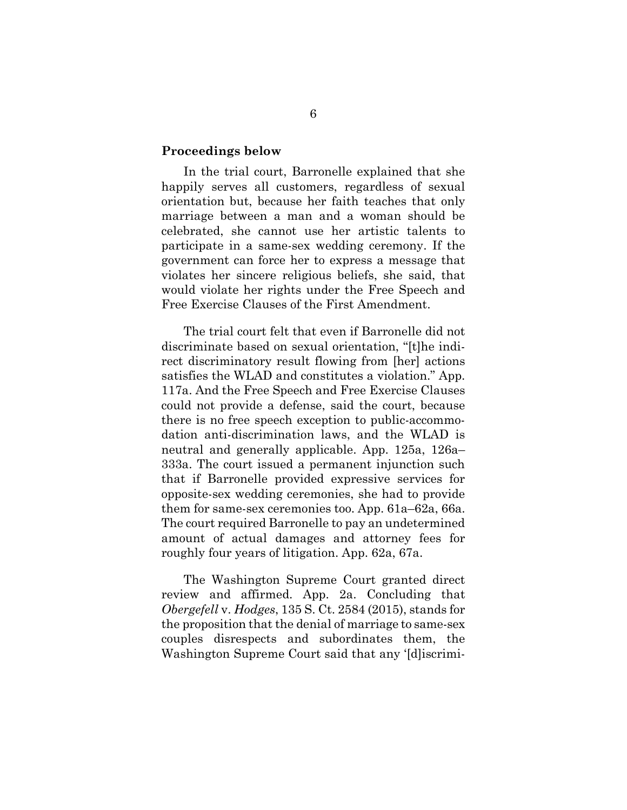#### **Proceedings below**

In the trial court, Barronelle explained that she happily serves all customers, regardless of sexual orientation but, because her faith teaches that only marriage between a man and a woman should be celebrated, she cannot use her artistic talents to participate in a same-sex wedding ceremony. If the government can force her to express a message that violates her sincere religious beliefs, she said, that would violate her rights under the Free Speech and Free Exercise Clauses of the First Amendment.

The trial court felt that even if Barronelle did not discriminate based on sexual orientation, "[t]he indirect discriminatory result flowing from [her] actions satisfies the WLAD and constitutes a violation." App. 117a. And the Free Speech and Free Exercise Clauses could not provide a defense, said the court, because there is no free speech exception to public-accommodation anti-discrimination laws, and the WLAD is neutral and generally applicable. App. 125a, 126a– 333a. The court issued a permanent injunction such that if Barronelle provided expressive services for opposite-sex wedding ceremonies, she had to provide them for same-sex ceremonies too. App. 61a–62a, 66a. The court required Barronelle to pay an undetermined amount of actual damages and attorney fees for roughly four years of litigation. App. 62a, 67a.

The Washington Supreme Court granted direct review and affirmed. App. 2a. Concluding that *Obergefell* v. *Hodges*, 135 S. Ct. 2584 (2015), stands for the proposition that the denial of marriage to same-sex couples disrespects and subordinates them, the Washington Supreme Court said that any '[d]iscrimi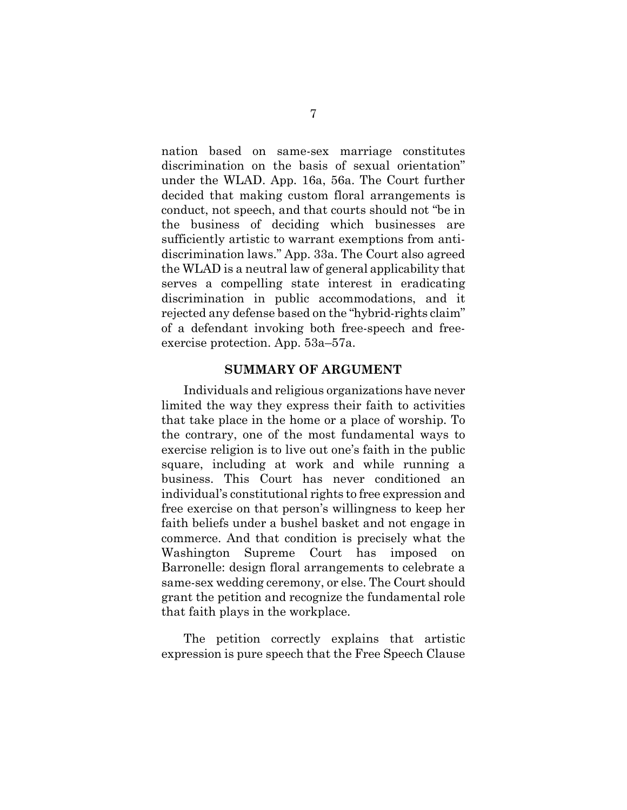nation based on same-sex marriage constitutes discrimination on the basis of sexual orientation" under the WLAD. App. 16a, 56a. The Court further decided that making custom floral arrangements is conduct, not speech, and that courts should not "be in the business of deciding which businesses are sufficiently artistic to warrant exemptions from antidiscrimination laws." App. 33a. The Court also agreed the WLAD is a neutral law of general applicability that serves a compelling state interest in eradicating discrimination in public accommodations, and it rejected any defense based on the "hybrid-rights claim" of a defendant invoking both free-speech and freeexercise protection. App. 53a–57a.

#### **SUMMARY OF ARGUMENT**

Individuals and religious organizations have never limited the way they express their faith to activities that take place in the home or a place of worship. To the contrary, one of the most fundamental ways to exercise religion is to live out one's faith in the public square, including at work and while running a business. This Court has never conditioned an individual's constitutional rights to free expression and free exercise on that person's willingness to keep her faith beliefs under a bushel basket and not engage in commerce. And that condition is precisely what the Washington Supreme Court has imposed Barronelle: design floral arrangements to celebrate a same-sex wedding ceremony, or else. The Court should grant the petition and recognize the fundamental role that faith plays in the workplace.

The petition correctly explains that artistic expression is pure speech that the Free Speech Clause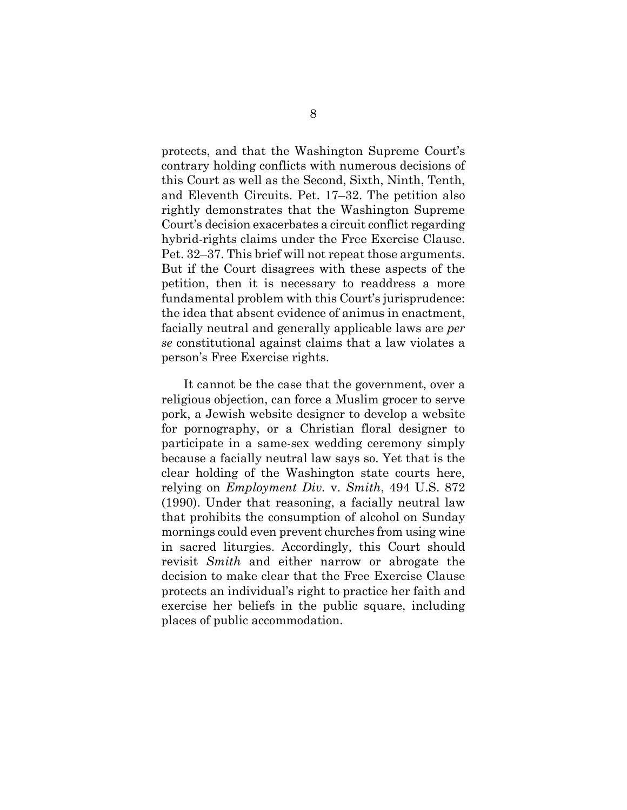protects, and that the Washington Supreme Court's contrary holding conflicts with numerous decisions of this Court as well as the Second, Sixth, Ninth, Tenth, and Eleventh Circuits. Pet. 17–32. The petition also rightly demonstrates that the Washington Supreme Court's decision exacerbates a circuit conflict regarding hybrid-rights claims under the Free Exercise Clause. Pet. 32–37. This brief will not repeat those arguments. But if the Court disagrees with these aspects of the petition, then it is necessary to readdress a more fundamental problem with this Court's jurisprudence: the idea that absent evidence of animus in enactment, facially neutral and generally applicable laws are *per se* constitutional against claims that a law violates a person's Free Exercise rights.

It cannot be the case that the government, over a religious objection, can force a Muslim grocer to serve pork, a Jewish website designer to develop a website for pornography, or a Christian floral designer to participate in a same-sex wedding ceremony simply because a facially neutral law says so. Yet that is the clear holding of the Washington state courts here, relying on *Employment Div.* v. *Smith*, 494 U.S. 872 (1990). Under that reasoning, a facially neutral law that prohibits the consumption of alcohol on Sunday mornings could even prevent churches from using wine in sacred liturgies. Accordingly, this Court should revisit *Smith* and either narrow or abrogate the decision to make clear that the Free Exercise Clause protects an individual's right to practice her faith and exercise her beliefs in the public square, including places of public accommodation.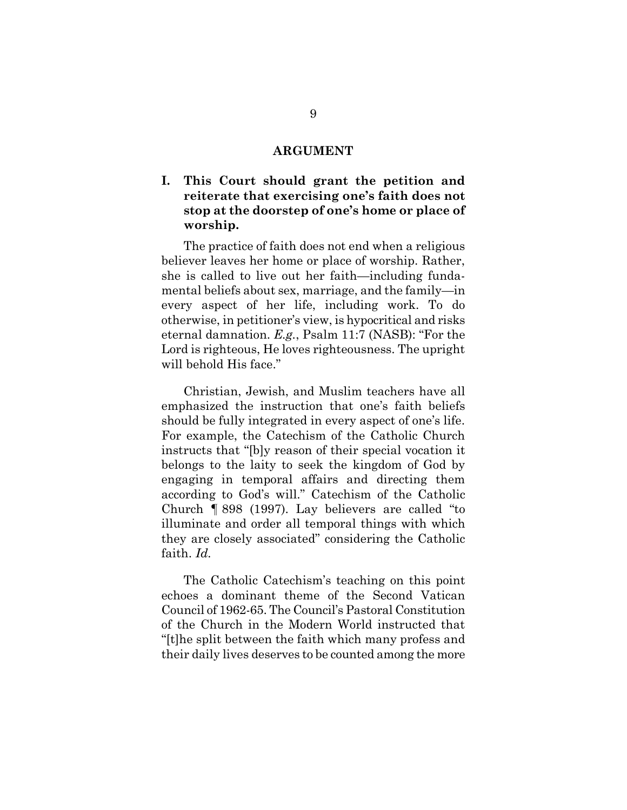#### **ARGUMENT**

### **I. This Court should grant the petition and reiterate that exercising one's faith does not stop at the doorstep of one's home or place of worship.**

The practice of faith does not end when a religious believer leaves her home or place of worship. Rather, she is called to live out her faith—including fundamental beliefs about sex, marriage, and the family—in every aspect of her life, including work. To do otherwise, in petitioner's view, is hypocritical and risks eternal damnation. *E.g.*, Psalm 11:7 (NASB): "For the Lord is righteous, He loves righteousness. The upright will behold His face."

Christian, Jewish, and Muslim teachers have all emphasized the instruction that one's faith beliefs should be fully integrated in every aspect of one's life. For example, the Catechism of the Catholic Church instructs that "[b]y reason of their special vocation it belongs to the laity to seek the kingdom of God by engaging in temporal affairs and directing them according to God's will." Catechism of the Catholic Church ¶ 898 (1997). Lay believers are called "to illuminate and order all temporal things with which they are closely associated" considering the Catholic faith. *Id.*

The Catholic Catechism's teaching on this point echoes a dominant theme of the Second Vatican Council of 1962-65. The Council's Pastoral Constitution of the Church in the Modern World instructed that "[t]he split between the faith which many profess and their daily lives deserves to be counted among the more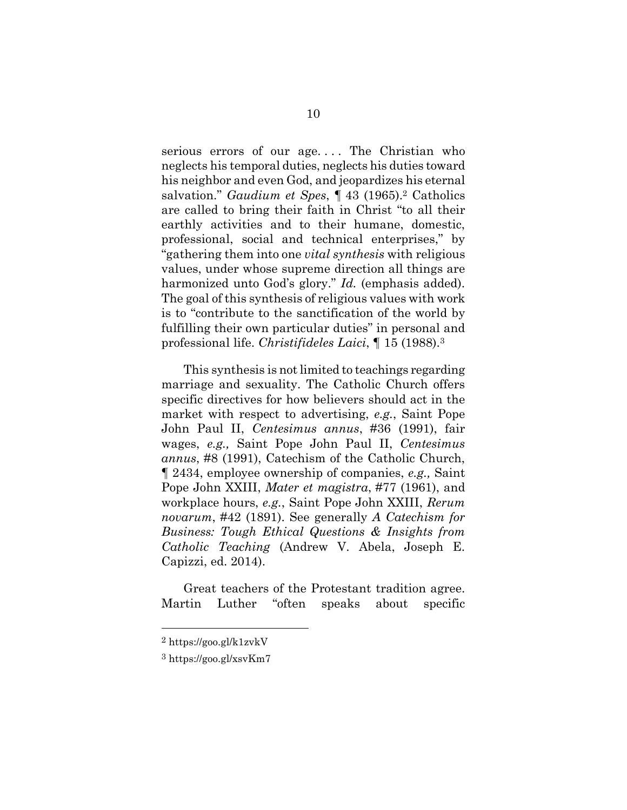serious errors of our age.... The Christian who neglects his temporal duties, neglects his duties toward his neighbor and even God, and jeopardizes his eternal salvation." *Gaudium et Spes*, ¶ 43 (1965).2 Catholics are called to bring their faith in Christ "to all their earthly activities and to their humane, domestic, professional, social and technical enterprises," by "gathering them into one *vital synthesis* with religious values, under whose supreme direction all things are harmonized unto God's glory." *Id.* (emphasis added). The goal of this synthesis of religious values with work is to "contribute to the sanctification of the world by fulfilling their own particular duties" in personal and professional life. *Christifideles Laici*, ¶ 15 (1988).<sup>3</sup>

This synthesis is not limited to teachings regarding marriage and sexuality. The Catholic Church offers specific directives for how believers should act in the market with respect to advertising, *e.g.*, Saint Pope John Paul II, *Centesimus annus*, #36 (1991), fair wages, *e.g.,* Saint Pope John Paul II, *Centesimus annus*, #8 (1991), Catechism of the Catholic Church, ¶ 2434, employee ownership of companies, *e.g.,* Saint Pope John XXIII, *Mater et magistra*, #77 (1961), and workplace hours, *e.g.*, Saint Pope John XXIII, *Rerum novarum*, #42 (1891). See generally *A Catechism for Business: Tough Ethical Questions & Insights from Catholic Teaching* (Andrew V. Abela, Joseph E. Capizzi, ed. 2014).

Great teachers of the Protestant tradition agree. Martin Luther "often speaks about specific

<sup>2</sup> https://goo.gl/k1zvkV

<sup>3</sup> https://goo.gl/xsvKm7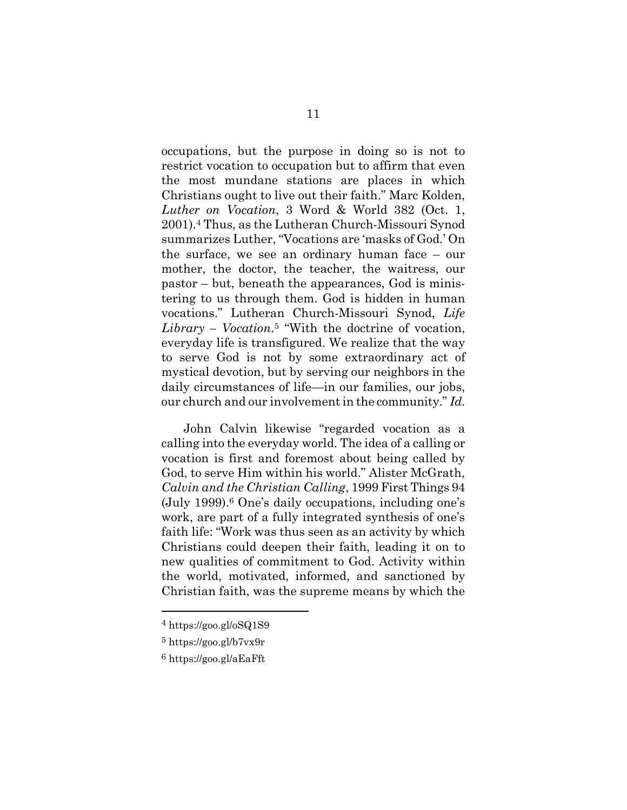occupations, but the purpose in doing so is not to restrict vocation to occupation but to affirm that even the most mundane stations are places in which Christians ought to live out their faith." Marc Kolden, *Luther on Vocation*, 3 Word & World 382 (Oct. 1, 2001).4 Thus, as the Lutheran Church-Missouri Synod summarizes Luther, "Vocations are 'masks of God.' On the surface, we see an ordinary human face – our mother, the doctor, the teacher, the waitress, our pastor – but, beneath the appearances, God is ministering to us through them. God is hidden in human vocations." Lutheran Church-Missouri Synod, *Life Library – Vocation*. <sup>5</sup> "With the doctrine of vocation, everyday life is transfigured. We realize that the way to serve God is not by some extraordinary act of mystical devotion, but by serving our neighbors in the daily circumstances of life—in our families, our jobs, our church and our involvement in the community." *Id.*

John Calvin likewise "regarded vocation as a calling into the everyday world. The idea of a calling or vocation is first and foremost about being called by God, to serve Him within his world." Alister McGrath, *Calvin and the Christian Calling*, 1999 First Things 94 (July 1999).6 One's daily occupations, including one's work, are part of a fully integrated synthesis of one's faith life: "Work was thus seen as an activity by which Christians could deepen their faith, leading it on to new qualities of commitment to God. Activity within the world, motivated, informed, and sanctioned by Christian faith, was the supreme means by which the

<sup>4</sup> https://goo.gl/oSQ1S9

<sup>5</sup> https://goo.gl/b7vx9r

<sup>6</sup> https://goo.gl/aEaFft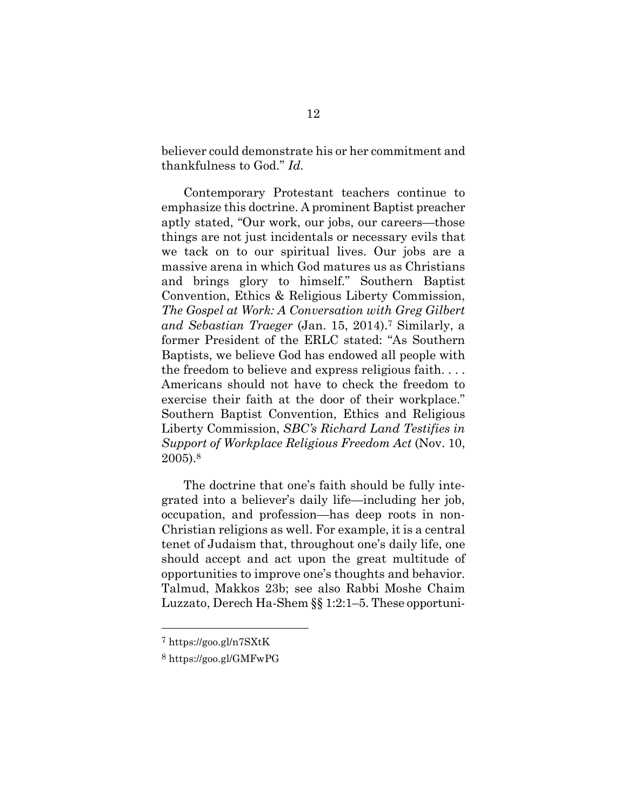believer could demonstrate his or her commitment and thankfulness to God." *Id.*

Contemporary Protestant teachers continue to emphasize this doctrine. A prominent Baptist preacher aptly stated, "Our work, our jobs, our careers—those things are not just incidentals or necessary evils that we tack on to our spiritual lives. Our jobs are a massive arena in which God matures us as Christians and brings glory to himself." Southern Baptist Convention, Ethics & Religious Liberty Commission, *The Gospel at Work: A Conversation with Greg Gilbert and Sebastian Traeger* (Jan. 15, 2014).<sup>7</sup> Similarly, a former President of the ERLC stated: "As Southern Baptists, we believe God has endowed all people with the freedom to believe and express religious faith. . . . Americans should not have to check the freedom to exercise their faith at the door of their workplace." Southern Baptist Convention, Ethics and Religious Liberty Commission, *SBC's Richard Land Testifies in Support of Workplace Religious Freedom Act* (Nov. 10, 2005).<sup>8</sup>

The doctrine that one's faith should be fully integrated into a believer's daily life—including her job, occupation, and profession—has deep roots in non-Christian religions as well. For example, it is a central tenet of Judaism that, throughout one's daily life, one should accept and act upon the great multitude of opportunities to improve one's thoughts and behavior. Talmud, Makkos 23b; see also Rabbi Moshe Chaim Luzzato, Derech Ha-Shem §§ 1:2:1–5. These opportuni-

<sup>7</sup> https://goo.gl/n7SXtK

<sup>8</sup> https://goo.gl/GMFwPG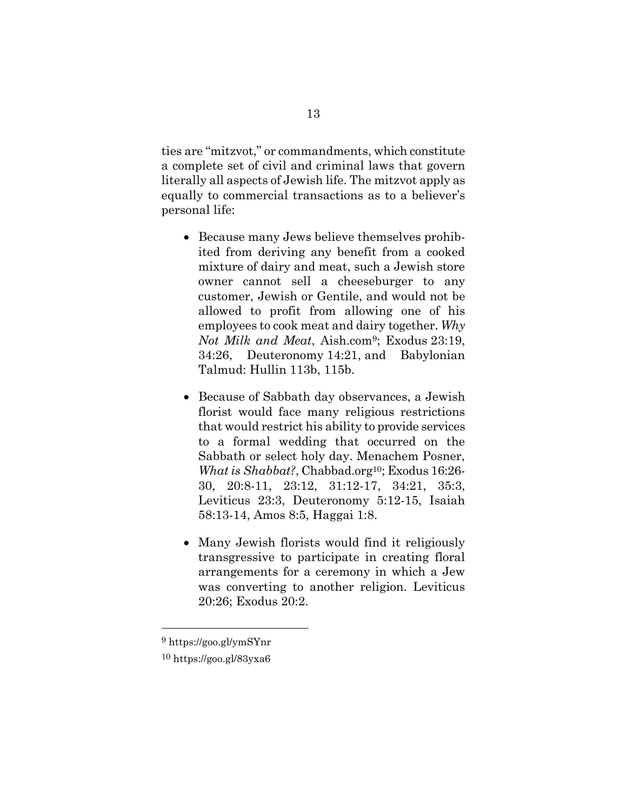ties are "mitzvot," or commandments, which constitute a complete set of civil and criminal laws that govern literally all aspects of Jewish life. The mitzvot apply as equally to commercial transactions as to a believer's personal life:

- Because many Jews believe themselves prohibited from deriving any benefit from a cooked mixture of dairy and meat, such a Jewish store owner cannot sell a cheeseburger to any customer, Jewish or Gentile, and would not be allowed to profit from allowing one of his employees to cook meat and dairy together. *Why Not Milk and Meat*, Aish.com9; Exodus 23:19, 34:26, Deuteronomy 14:21, and Babylonian Talmud: Hullin 113b, 115b.
- Because of Sabbath day observances, a Jewish florist would face many religious restrictions that would restrict his ability to provide services to a formal wedding that occurred on the Sabbath or select holy day. Menachem Posner, *What is Shabbat?*, Chabbad.org<sup>10</sup>; Exodus 16:26-30, 20:8-11, 23:12, 31:12-17, 34:21, 35:3, Leviticus 23:3, Deuteronomy 5:12-15, Isaiah 58:13-14, Amos 8:5, Haggai 1:8.
- Many Jewish florists would find it religiously transgressive to participate in creating floral arrangements for a ceremony in which a Jew was converting to another religion. Leviticus 20:26; Exodus 20:2.

<sup>9</sup> https://goo.gl/ymSYnr

<sup>10</sup> https://goo.gl/83yxa6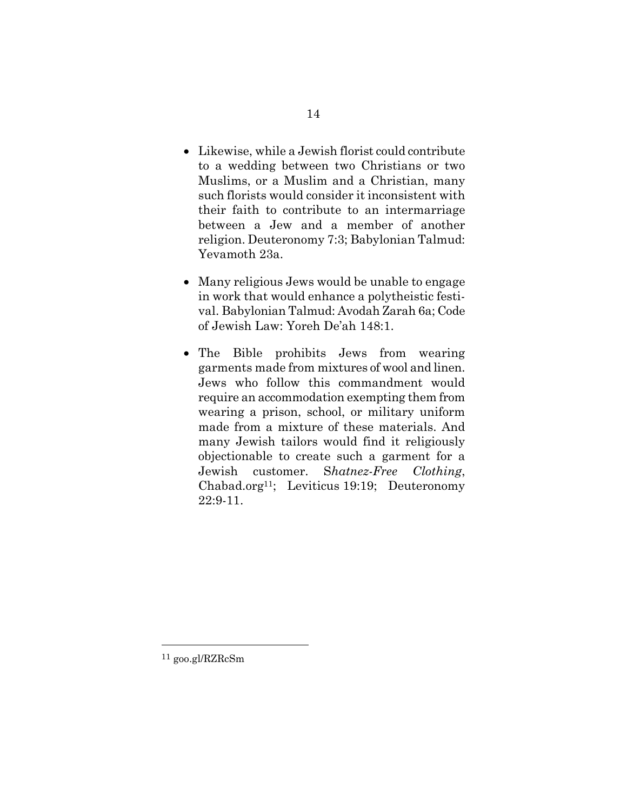- Likewise, while a Jewish florist could contribute to a wedding between two Christians or two Muslims, or a Muslim and a Christian, many such florists would consider it inconsistent with their faith to contribute to an intermarriage between a Jew and a member of another religion. Deuteronomy 7:3; Babylonian Talmud: Yevamoth 23a.
- Many religious Jews would be unable to engage in work that would enhance a polytheistic festival. Babylonian Talmud: Avodah Zarah 6a; Code of Jewish Law: Yoreh De'ah 148:1.
- The Bible prohibits Jews from wearing garments made from mixtures of wool and linen. Jews who follow this commandment would require an accommodation exempting them from wearing a prison, school, or military uniform made from a mixture of these materials. And many Jewish tailors would find it religiously objectionable to create such a garment for a Jewish customer. S*hatnez-Free Clothing*, Chabad.org<sup>11</sup>; Leviticus 19:19; Deuteronomy 22:9-11.

<sup>11</sup> goo.gl/RZRcSm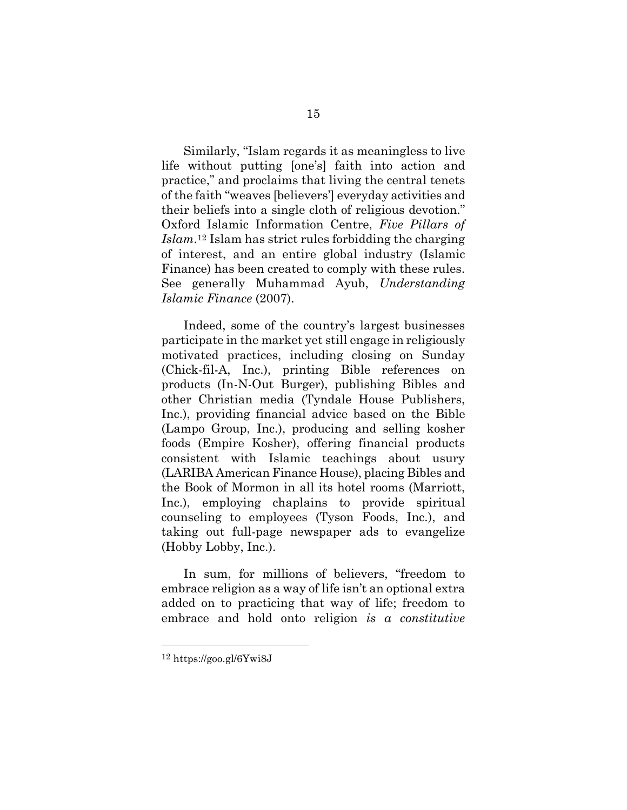Similarly, "Islam regards it as meaningless to live life without putting [one's] faith into action and practice," and proclaims that living the central tenets of the faith "weaves [believers'] everyday activities and their beliefs into a single cloth of religious devotion." Oxford Islamic Information Centre, *Five Pillars of Islam*. <sup>12</sup> Islam has strict rules forbidding the charging of interest, and an entire global industry (Islamic Finance) has been created to comply with these rules. See generally Muhammad Ayub, *Understanding Islamic Finance* (2007).

Indeed, some of the country's largest businesses participate in the market yet still engage in religiously motivated practices, including closing on Sunday (Chick-fil-A, Inc.), printing Bible references on products (In-N-Out Burger), publishing Bibles and other Christian media (Tyndale House Publishers, Inc.), providing financial advice based on the Bible (Lampo Group, Inc.), producing and selling kosher foods (Empire Kosher), offering financial products consistent with Islamic teachings about usury (LARIBA American Finance House), placing Bibles and the Book of Mormon in all its hotel rooms (Marriott, Inc.), employing chaplains to provide spiritual counseling to employees (Tyson Foods, Inc.), and taking out full-page newspaper ads to evangelize (Hobby Lobby, Inc.).

In sum, for millions of believers, "freedom to embrace religion as a way of life isn't an optional extra added on to practicing that way of life; freedom to embrace and hold onto religion *is a constitutive* 

<sup>12</sup> https://goo.gl/6Ywi8J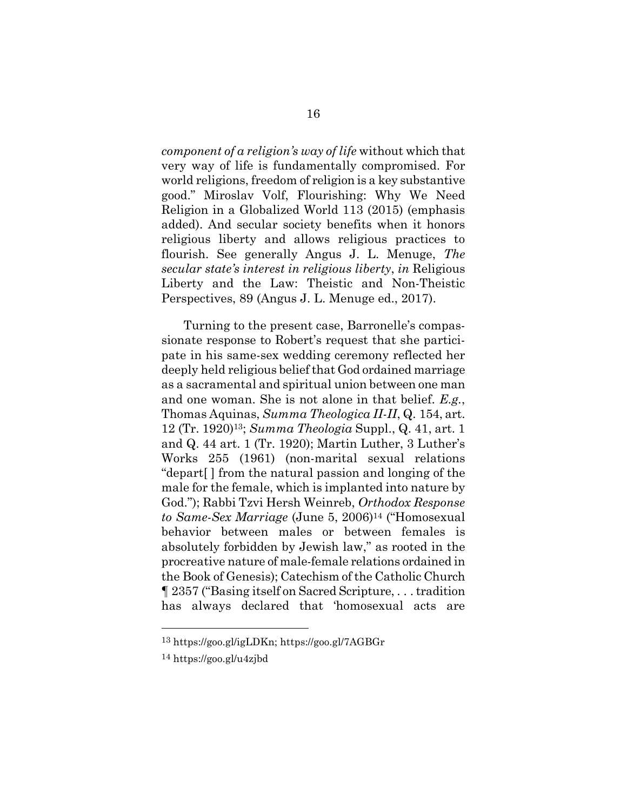*component of a religion's way of life* without which that very way of life is fundamentally compromised. For world religions, freedom of religion is a key substantive good." Miroslav Volf, Flourishing: Why We Need Religion in a Globalized World 113 (2015) (emphasis added). And secular society benefits when it honors religious liberty and allows religious practices to flourish. See generally Angus J. L. Menuge, *The secular state's interest in religious liberty*, *in* Religious Liberty and the Law: Theistic and Non-Theistic Perspectives, 89 (Angus J. L. Menuge ed., 2017).

Turning to the present case, Barronelle's compassionate response to Robert's request that she participate in his same-sex wedding ceremony reflected her deeply held religious belief that God ordained marriage as a sacramental and spiritual union between one man and one woman. She is not alone in that belief. *E.g.*, Thomas Aquinas, *Summa Theologica II-II*, Q. 154, art. 12 (Tr. 1920)13; *Summa Theologia* Suppl., Q. 41, art. 1 and Q. 44 art. 1 (Tr. 1920); Martin Luther, 3 Luther's Works 255 (1961) (non-marital sexual relations "depart[ ] from the natural passion and longing of the male for the female, which is implanted into nature by God."); Rabbi Tzvi Hersh Weinreb, *Orthodox Response to Same-Sex Marriage* (June 5, 2006)14 ("Homosexual behavior between males or between females is absolutely forbidden by Jewish law," as rooted in the procreative nature of male-female relations ordained in the Book of Genesis); Catechism of the Catholic Church ¶ 2357 ("Basing itself on Sacred Scripture, . . . tradition has always declared that 'homosexual acts are

<sup>13</sup> https://goo.gl/igLDKn; https://goo.gl/7AGBGr

<sup>14</sup> https://goo.gl/u4zjbd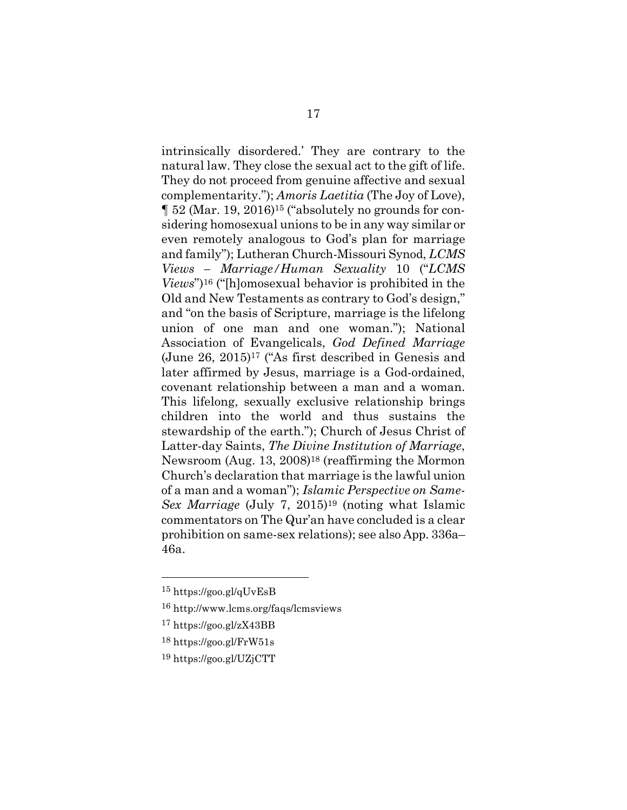intrinsically disordered.' They are contrary to the natural law. They close the sexual act to the gift of life. They do not proceed from genuine affective and sexual complementarity."); *Amoris Laetitia* (The Joy of Love), ¶ 52 (Mar. 19, 2016)15 ("absolutely no grounds for considering homosexual unions to be in any way similar or even remotely analogous to God's plan for marriage and family"); Lutheran Church-Missouri Synod, *LCMS Views – Marriage/Human Sexuality* 10 ("*LCMS Views*")16 ("[h]omosexual behavior is prohibited in the Old and New Testaments as contrary to God's design," and "on the basis of Scripture, marriage is the lifelong union of one man and one woman."); National Association of Evangelicals, *God Defined Marriage* (June 26, 2015)17 ("As first described in Genesis and later affirmed by Jesus, marriage is a God-ordained, covenant relationship between a man and a woman. This lifelong, sexually exclusive relationship brings children into the world and thus sustains the stewardship of the earth."); Church of Jesus Christ of Latter-day Saints, *The Divine Institution of Marriage*, Newsroom (Aug. 13, 2008)18 (reaffirming the Mormon Church's declaration that marriage is the lawful union of a man and a woman"); *Islamic Perspective on Same-Sex Marriage* (July 7, 2015)<sup>19</sup> (noting what Islamic commentators on The Qur'an have concluded is a clear prohibition on same-sex relations); see also App. 336a– 46a.

<sup>15</sup> https://goo.gl/qUvEsB

<sup>16</sup> http://www.lcms.org/faqs/lcmsviews

<sup>17</sup> https://goo.gl/zX43BB

<sup>18</sup> https://goo.gl/FrW51s

<sup>19</sup> https://goo.gl/UZjCTT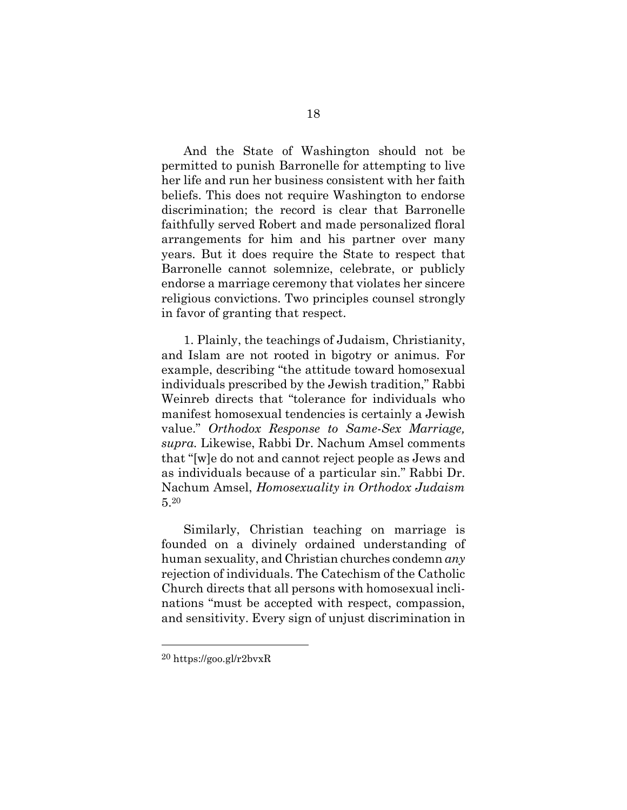And the State of Washington should not be permitted to punish Barronelle for attempting to live her life and run her business consistent with her faith beliefs. This does not require Washington to endorse discrimination; the record is clear that Barronelle faithfully served Robert and made personalized floral arrangements for him and his partner over many years. But it does require the State to respect that Barronelle cannot solemnize, celebrate, or publicly endorse a marriage ceremony that violates her sincere religious convictions. Two principles counsel strongly in favor of granting that respect.

1. Plainly, the teachings of Judaism, Christianity, and Islam are not rooted in bigotry or animus. For example, describing "the attitude toward homosexual individuals prescribed by the Jewish tradition," Rabbi Weinreb directs that "tolerance for individuals who manifest homosexual tendencies is certainly a Jewish value." *Orthodox Response to Same-Sex Marriage, supra.* Likewise, Rabbi Dr. Nachum Amsel comments that "[w]e do not and cannot reject people as Jews and as individuals because of a particular sin." Rabbi Dr. Nachum Amsel, *Homosexuality in Orthodox Judaism* 5.<sup>20</sup>

Similarly, Christian teaching on marriage is founded on a divinely ordained understanding of human sexuality, and Christian churches condemn *any*  rejection of individuals. The Catechism of the Catholic Church directs that all persons with homosexual inclinations "must be accepted with respect, compassion, and sensitivity. Every sign of unjust discrimination in

<sup>20</sup> https://goo.gl/r2bvxR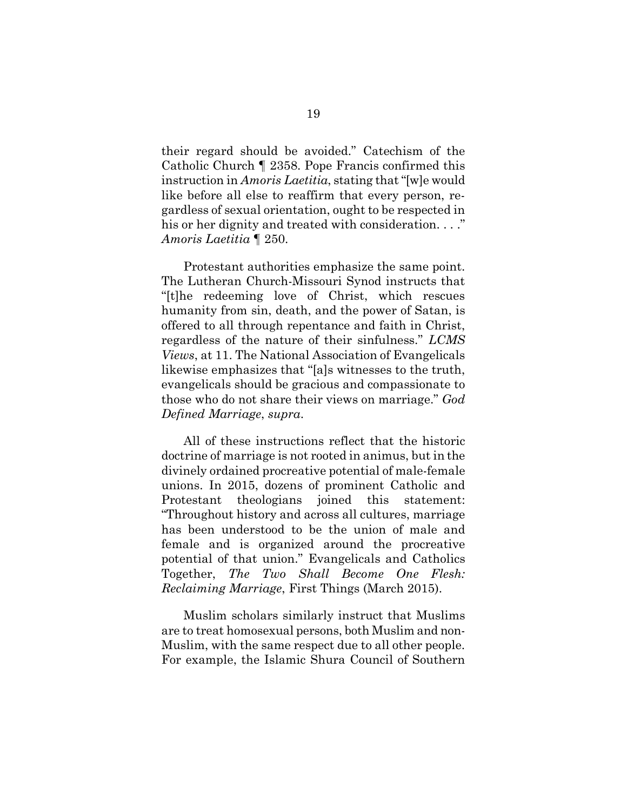their regard should be avoided." Catechism of the Catholic Church ¶ 2358. Pope Francis confirmed this instruction in *Amoris Laetitia*, stating that "[w]e would like before all else to reaffirm that every person, regardless of sexual orientation, ought to be respected in his or her dignity and treated with consideration. . . ." *Amoris Laetitia* ¶ 250.

Protestant authorities emphasize the same point. The Lutheran Church-Missouri Synod instructs that "[t]he redeeming love of Christ, which rescues humanity from sin, death, and the power of Satan, is offered to all through repentance and faith in Christ, regardless of the nature of their sinfulness." *LCMS Views*, at 11. The National Association of Evangelicals likewise emphasizes that "[a]s witnesses to the truth, evangelicals should be gracious and compassionate to those who do not share their views on marriage." *God Defined Marriage*, *supra*.

All of these instructions reflect that the historic doctrine of marriage is not rooted in animus, but in the divinely ordained procreative potential of male-female unions. In 2015, dozens of prominent Catholic and Protestant theologians joined this statement: "Throughout history and across all cultures, marriage has been understood to be the union of male and female and is organized around the procreative potential of that union." Evangelicals and Catholics Together, *The Two Shall Become One Flesh: Reclaiming Marriage*, First Things (March 2015).

Muslim scholars similarly instruct that Muslims are to treat homosexual persons, both Muslim and non-Muslim, with the same respect due to all other people. For example, the Islamic Shura Council of Southern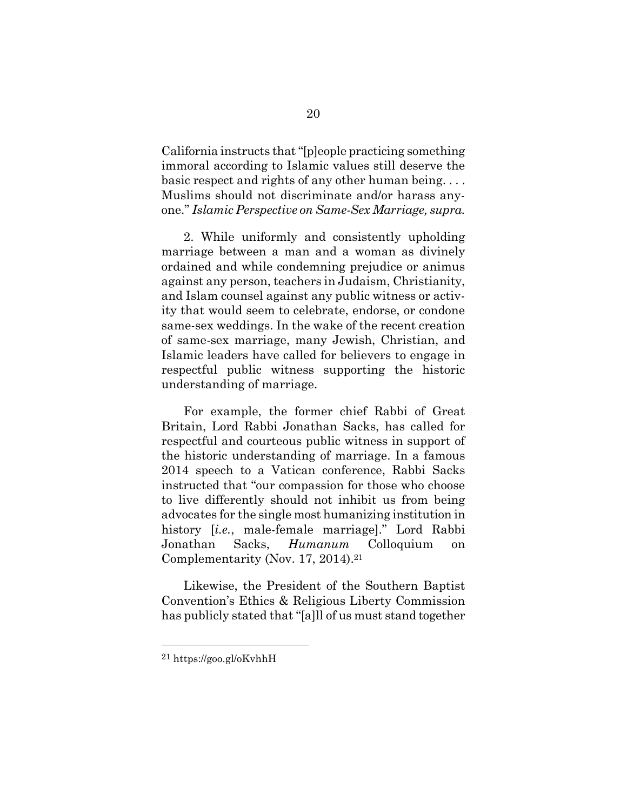California instructs that "[p]eople practicing something immoral according to Islamic values still deserve the basic respect and rights of any other human being. . . . Muslims should not discriminate and/or harass anyone." *Islamic Perspective on Same-Sex Marriage, supra.*

2. While uniformly and consistently upholding marriage between a man and a woman as divinely ordained and while condemning prejudice or animus against any person, teachers in Judaism, Christianity, and Islam counsel against any public witness or activity that would seem to celebrate, endorse, or condone same-sex weddings. In the wake of the recent creation of same-sex marriage, many Jewish, Christian, and Islamic leaders have called for believers to engage in respectful public witness supporting the historic understanding of marriage.

For example, the former chief Rabbi of Great Britain, Lord Rabbi Jonathan Sacks, has called for respectful and courteous public witness in support of the historic understanding of marriage. In a famous 2014 speech to a Vatican conference, Rabbi Sacks instructed that "our compassion for those who choose to live differently should not inhibit us from being advocates for the single most humanizing institution in history [*i.e.*, male-female marriage]." Lord Rabbi Jonathan Sacks, *Humanum* Colloquium on Complementarity (Nov. 17, 2014).<sup>21</sup>

Likewise, the President of the Southern Baptist Convention's Ethics & Religious Liberty Commission has publicly stated that "[a]ll of us must stand together

<sup>21</sup> https://goo.gl/oKvhhH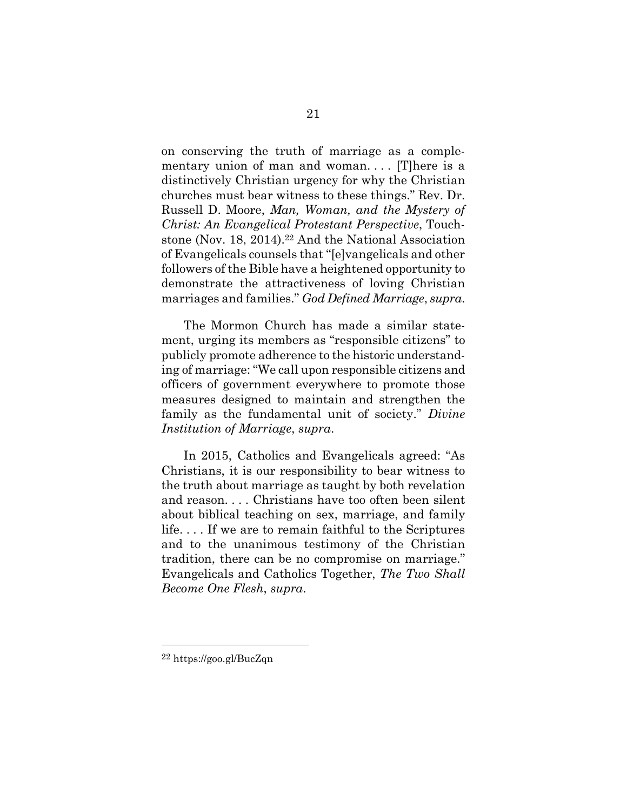on conserving the truth of marriage as a complementary union of man and woman.... There is a distinctively Christian urgency for why the Christian churches must bear witness to these things." Rev. Dr. Russell D. Moore, *Man, Woman, and the Mystery of Christ: An Evangelical Protestant Perspective*, Touchstone (Nov. 18, 2014).22 And the National Association of Evangelicals counsels that "[e]vangelicals and other followers of the Bible have a heightened opportunity to demonstrate the attractiveness of loving Christian marriages and families." *God Defined Marriage*, *supra*.

The Mormon Church has made a similar statement, urging its members as "responsible citizens" to publicly promote adherence to the historic understanding of marriage: "We call upon responsible citizens and officers of government everywhere to promote those measures designed to maintain and strengthen the family as the fundamental unit of society." *Divine Institution of Marriage*, *supra*.

In 2015, Catholics and Evangelicals agreed: "As Christians, it is our responsibility to bear witness to the truth about marriage as taught by both revelation and reason. . . . Christians have too often been silent about biblical teaching on sex, marriage, and family life. . . . If we are to remain faithful to the Scriptures and to the unanimous testimony of the Christian tradition, there can be no compromise on marriage." Evangelicals and Catholics Together, *The Two Shall Become One Flesh*, *supra*.

<sup>22</sup> https://goo.gl/BucZqn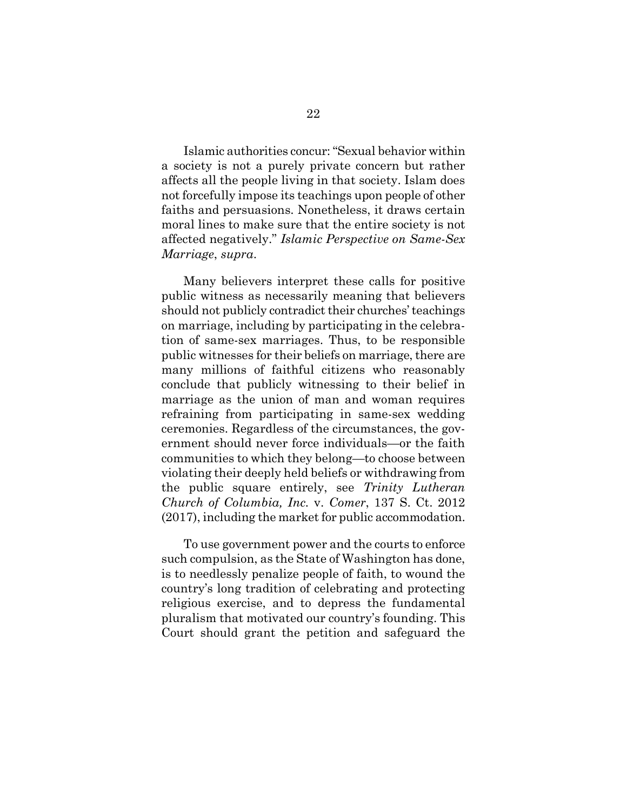Islamic authorities concur: "Sexual behavior within a society is not a purely private concern but rather affects all the people living in that society. Islam does not forcefully impose its teachings upon people of other faiths and persuasions. Nonetheless, it draws certain moral lines to make sure that the entire society is not affected negatively." *Islamic Perspective on Same-Sex Marriage*, *supra*.

Many believers interpret these calls for positive public witness as necessarily meaning that believers should not publicly contradict their churches' teachings on marriage, including by participating in the celebration of same-sex marriages. Thus, to be responsible public witnesses for their beliefs on marriage, there are many millions of faithful citizens who reasonably conclude that publicly witnessing to their belief in marriage as the union of man and woman requires refraining from participating in same-sex wedding ceremonies. Regardless of the circumstances, the government should never force individuals—or the faith communities to which they belong—to choose between violating their deeply held beliefs or withdrawing from the public square entirely, see *Trinity Lutheran Church of Columbia, Inc.* v. *Comer*, 137 S. Ct. 2012 (2017), including the market for public accommodation.

To use government power and the courts to enforce such compulsion, as the State of Washington has done, is to needlessly penalize people of faith, to wound the country's long tradition of celebrating and protecting religious exercise, and to depress the fundamental pluralism that motivated our country's founding. This Court should grant the petition and safeguard the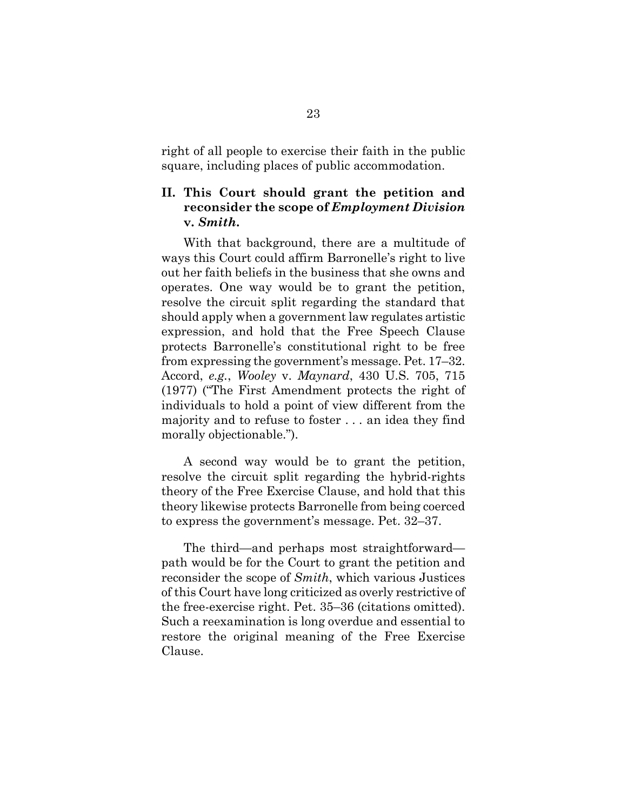right of all people to exercise their faith in the public square, including places of public accommodation.

### **II. This Court should grant the petition and reconsider the scope of** *Employment Division*  **v.** *Smith***.**

With that background, there are a multitude of ways this Court could affirm Barronelle's right to live out her faith beliefs in the business that she owns and operates. One way would be to grant the petition, resolve the circuit split regarding the standard that should apply when a government law regulates artistic expression, and hold that the Free Speech Clause protects Barronelle's constitutional right to be free from expressing the government's message. Pet. 17–32. Accord, *e.g.*, *Wooley* v. *Maynard*, 430 U.S. 705, 715 (1977) ("The First Amendment protects the right of individuals to hold a point of view different from the majority and to refuse to foster . . . an idea they find morally objectionable.").

A second way would be to grant the petition, resolve the circuit split regarding the hybrid-rights theory of the Free Exercise Clause, and hold that this theory likewise protects Barronelle from being coerced to express the government's message. Pet. 32–37.

The third—and perhaps most straightforward path would be for the Court to grant the petition and reconsider the scope of *Smith*, which various Justices of this Court have long criticized as overly restrictive of the free-exercise right. Pet. 35–36 (citations omitted). Such a reexamination is long overdue and essential to restore the original meaning of the Free Exercise Clause.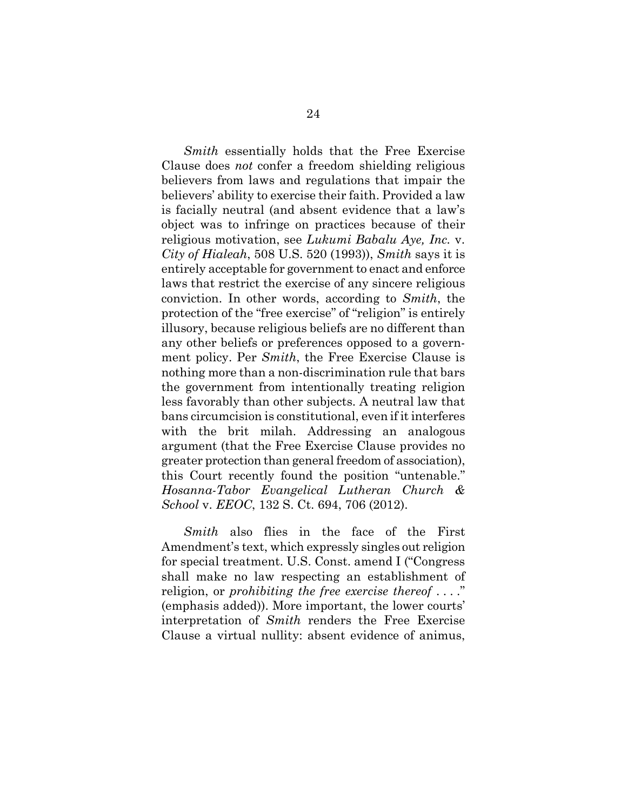*Smith* essentially holds that the Free Exercise Clause does *not* confer a freedom shielding religious believers from laws and regulations that impair the believers' ability to exercise their faith. Provided a law is facially neutral (and absent evidence that a law's object was to infringe on practices because of their religious motivation, see *Lukumi Babalu Aye, Inc.* v. *City of Hialeah*, 508 U.S. 520 (1993)), *Smith* says it is entirely acceptable for government to enact and enforce laws that restrict the exercise of any sincere religious conviction. In other words, according to *Smith*, the protection of the "free exercise" of "religion" is entirely illusory, because religious beliefs are no different than any other beliefs or preferences opposed to a government policy. Per *Smith*, the Free Exercise Clause is nothing more than a non-discrimination rule that bars the government from intentionally treating religion less favorably than other subjects. A neutral law that bans circumcision is constitutional, even if it interferes with the brit milah. Addressing an analogous argument (that the Free Exercise Clause provides no greater protection than general freedom of association), this Court recently found the position "untenable." *Hosanna-Tabor Evangelical Lutheran Church & School* v. *EEOC*, 132 S. Ct. 694, 706 (2012).

*Smith* also flies in the face of the First Amendment's text, which expressly singles out religion for special treatment. U.S. Const. amend I ("Congress shall make no law respecting an establishment of religion, or *prohibiting the free exercise thereof* . . . ." (emphasis added)). More important, the lower courts' interpretation of *Smith* renders the Free Exercise Clause a virtual nullity: absent evidence of animus,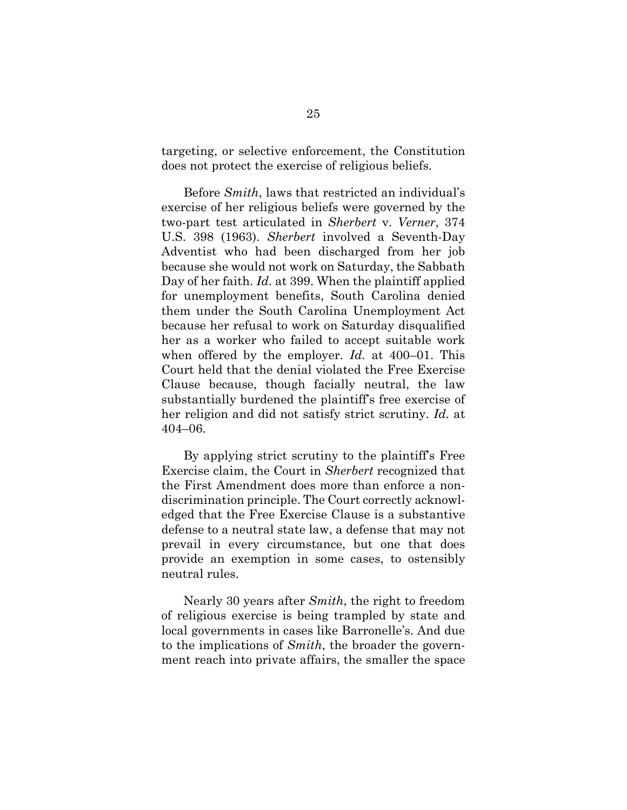targeting, or selective enforcement, the Constitution does not protect the exercise of religious beliefs.

Before *Smith*, laws that restricted an individual's exercise of her religious beliefs were governed by the two-part test articulated in *Sherbert* v. *Verner*, 374 U.S. 398 (1963). *Sherbert* involved a Seventh-Day Adventist who had been discharged from her job because she would not work on Saturday, the Sabbath Day of her faith. *Id.* at 399. When the plaintiff applied for unemployment benefits, South Carolina denied them under the South Carolina Unemployment Act because her refusal to work on Saturday disqualified her as a worker who failed to accept suitable work when offered by the employer. *Id.* at 400–01. This Court held that the denial violated the Free Exercise Clause because, though facially neutral, the law substantially burdened the plaintiff's free exercise of her religion and did not satisfy strict scrutiny. *Id.* at 404–06.

By applying strict scrutiny to the plaintiff's Free Exercise claim, the Court in *Sherbert* recognized that the First Amendment does more than enforce a nondiscrimination principle. The Court correctly acknowledged that the Free Exercise Clause is a substantive defense to a neutral state law, a defense that may not prevail in every circumstance, but one that does provide an exemption in some cases, to ostensibly neutral rules.

Nearly 30 years after *Smith*, the right to freedom of religious exercise is being trampled by state and local governments in cases like Barronelle's. And due to the implications of *Smith*, the broader the government reach into private affairs, the smaller the space